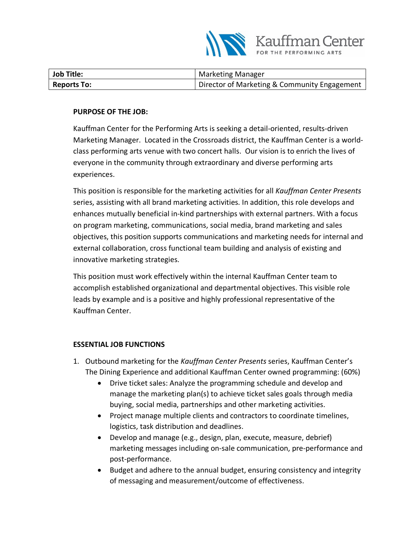

| <b>Job Title:</b>  | <b>Marketing Manager</b>                     |
|--------------------|----------------------------------------------|
| <b>Reports To:</b> | Director of Marketing & Community Engagement |

#### **PURPOSE OF THE JOB:**

Kauffman Center for the Performing Arts is seeking a detail-oriented, results-driven Marketing Manager. Located in the Crossroads district, the Kauffman Center is a worldclass performing arts venue with two concert halls. Our vision is to enrich the lives of everyone in the community through extraordinary and diverse performing arts experiences.

This position is responsible for the marketing activities for all *Kauffman Center Presents* series, assisting with all brand marketing activities. In addition, this role develops and enhances mutually beneficial in-kind partnerships with external partners. With a focus on program marketing, communications, social media, brand marketing and sales objectives, this position supports communications and marketing needs for internal and external collaboration, cross functional team building and analysis of existing and innovative marketing strategies.

This position must work effectively within the internal Kauffman Center team to accomplish established organizational and departmental objectives. This visible role leads by example and is a positive and highly professional representative of the Kauffman Center.

#### **ESSENTIAL JOB FUNCTIONS**

- 1. Outbound marketing for the *Kauffman Center Presents* series, Kauffman Center's The Dining Experience and additional Kauffman Center owned programming: (60%)
	- Drive ticket sales: Analyze the programming schedule and develop and manage the marketing plan(s) to achieve ticket sales goals through media buying, social media, partnerships and other marketing activities.
	- Project manage multiple clients and contractors to coordinate timelines, logistics, task distribution and deadlines.
	- Develop and manage (e.g., design, plan, execute, measure, debrief) marketing messages including on-sale communication, pre-performance and post-performance.
	- Budget and adhere to the annual budget, ensuring consistency and integrity of messaging and measurement/outcome of effectiveness.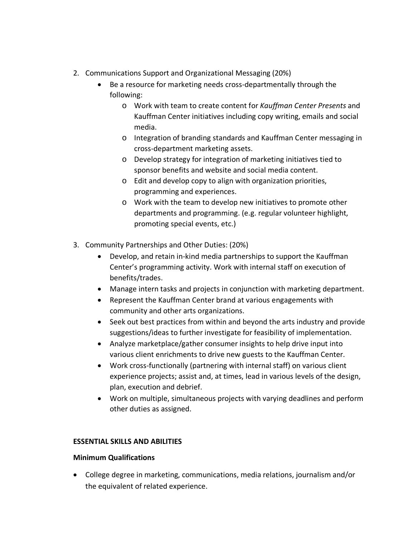- 2. Communications Support and Organizational Messaging (20%)
	- Be a resource for marketing needs cross-departmentally through the following:
		- o Work with team to create content for *Kauffman Center Presents* and Kauffman Center initiatives including copy writing, emails and social media.
		- o Integration of branding standards and Kauffman Center messaging in cross-department marketing assets.
		- o Develop strategy for integration of marketing initiatives tied to sponsor benefits and website and social media content.
		- o Edit and develop copy to align with organization priorities, programming and experiences.
		- o Work with the team to develop new initiatives to promote other departments and programming. (e.g. regular volunteer highlight, promoting special events, etc.)
- 3. Community Partnerships and Other Duties: (20%)
	- Develop, and retain in-kind media partnerships to support the Kauffman Center's programming activity. Work with internal staff on execution of benefits/trades.
	- Manage intern tasks and projects in conjunction with marketing department.
	- Represent the Kauffman Center brand at various engagements with community and other arts organizations.
	- Seek out best practices from within and beyond the arts industry and provide suggestions/ideas to further investigate for feasibility of implementation.
	- Analyze marketplace/gather consumer insights to help drive input into various client enrichments to drive new guests to the Kauffman Center.
	- Work cross-functionally (partnering with internal staff) on various client experience projects; assist and, at times, lead in various levels of the design, plan, execution and debrief.
	- Work on multiple, simultaneous projects with varying deadlines and perform other duties as assigned.

# **ESSENTIAL SKILLS AND ABILITIES**

# **Minimum Qualifications**

• College degree in marketing, communications, media relations, journalism and/or the equivalent of related experience.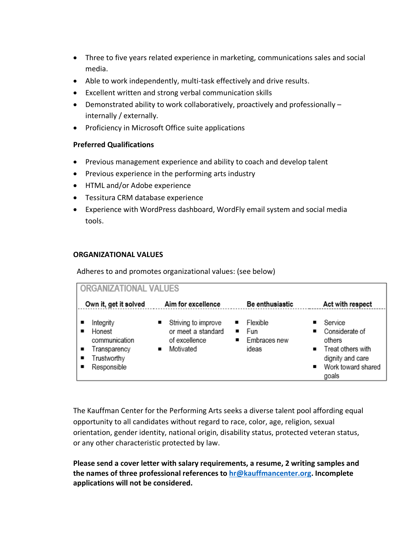- Three to five years related experience in marketing, communications sales and social media.
- Able to work independently, multi-task effectively and drive results.
- Excellent written and strong verbal communication skills
- Demonstrated ability to work collaboratively, proactively and professionally internally / externally.
- Proficiency in Microsoft Office suite applications

### **Preferred Qualifications**

- Previous management experience and ability to coach and develop talent
- Previous experience in the performing arts industry
- HTML and/or Adobe experience
- Tessitura CRM database experience
- Experience with WordPress dashboard, WordFly email system and social media tools.

### **ORGANIZATIONAL VALUES**

Adheres to and promotes organizational values: (see below)

| ORGANIZATIONAL VALUES                                                                   |                                                                         |                                                            |                                                                                                               |  |
|-----------------------------------------------------------------------------------------|-------------------------------------------------------------------------|------------------------------------------------------------|---------------------------------------------------------------------------------------------------------------|--|
| Own it, get it solved                                                                   | Aim for excellence                                                      | Be enthusiastic                                            | Act with respect                                                                                              |  |
| Integrity<br>Honest<br>communication<br>Transparency<br>٠<br>Trustworthy<br>Responsible | Striving to improve<br>or meet a standard<br>of excellence<br>Motivated | Flexible<br>Fun<br>$\blacksquare$<br>Embraces new<br>ideas | Service<br>Considerate of<br>others<br>■ Treat others with<br>dignity and care<br>Work toward shared<br>goals |  |

The Kauffman Center for the Performing Arts seeks a diverse talent pool affording equal opportunity to all candidates without regard to race, color, age, religion, sexual orientation, gender identity, national origin, disability status, protected veteran status, or any other characteristic protected by law.

**Please send a cover letter with salary requirements, a resume, 2 writing samples and the names of three professional references to [hr@kauffmancenter.org.](mailto:hr@kauffmancenter.org) Incomplete applications will not be considered.**